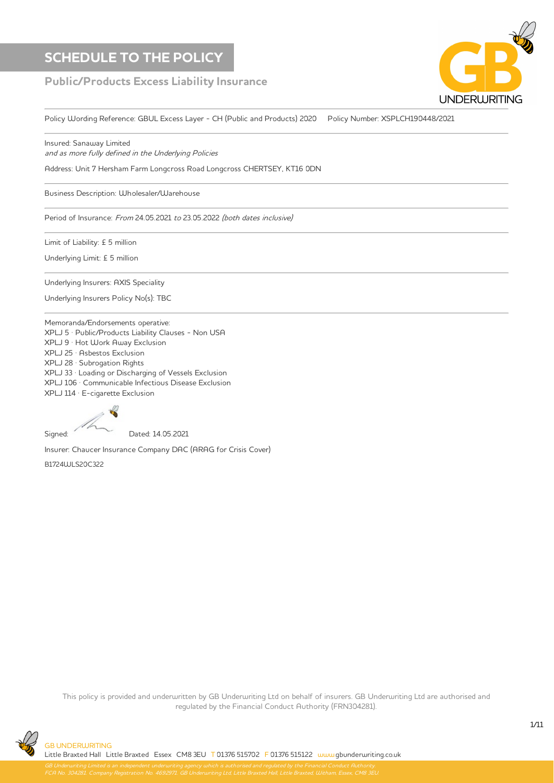## $\begin{array}{|c|c|c|}\hline \text{SCHEDULE TO THE POLICY} & & & \textcolor{red}{\bf \end{array}$

### Public/Products Excess Liability Insurance



Policy Wording Reference: GBUL Excess Layer - CH (Public and Products) 2020 Policy Number: XSPLCH190448/2021

Insured: Sanaway Limited and as more fully defined in the Underlying Policies

Address: Unit 7 Hersham Farm Longcross Road Longcross CHERTSEY, KT16 0DN Period of Insurance: From 24.05.2021 to 23.05.2022 (both dates inclusive)

,<br>Business Description: Wholesaler/Warehouse

Period of Insurance: From 24.05.2021 to 23.05.2022 (both dates inclusive)

Limit of Liability: £ 5 million

Underlying Limit: £ 5 million

Underlying Insurers: AXIS Speciality

Underlying Insurers Policy No(s): TBC

Memoranda/Endorsements operative: Premium Tax: £57.90 XPLJ 9 · Hot Work Away Exclusion  $\textsf{XPLJ}$  25  $\cdot$  Asbestos Exclusion Memoranda/Endorsements operative: XPLJ 106 · Communicable Infectious Disease Exclusion XPLJ 5 · Public/Products Liability Clauses - Non USA XPLJ 5 · Public/Products Liability Clauses - Non USA XPLJ 28 · Subrogation Rights XPLJ 33 · Loading or Discharging of Vessels Exclusion

XPLJ 114 · E-cigarette Exclusion



Signed: Dated: 14.05.2021  $\mathcal{L}$ 

Insurer: Chaucer Insurance Company DAC (ARAG for Crisis Cover)

B1724WLS20C322

This policy is provided and underwritten by GB Underwriting Ltd on behalf of insurers. GB Underwriting Ltd are authorised and regulated by the Financial Conduct Authority (FRN304281). Little Braxted Hall Chall Arabia Conserved Brasted Essex Chall Little Brazil Essex Conserved Brazil Little Bra

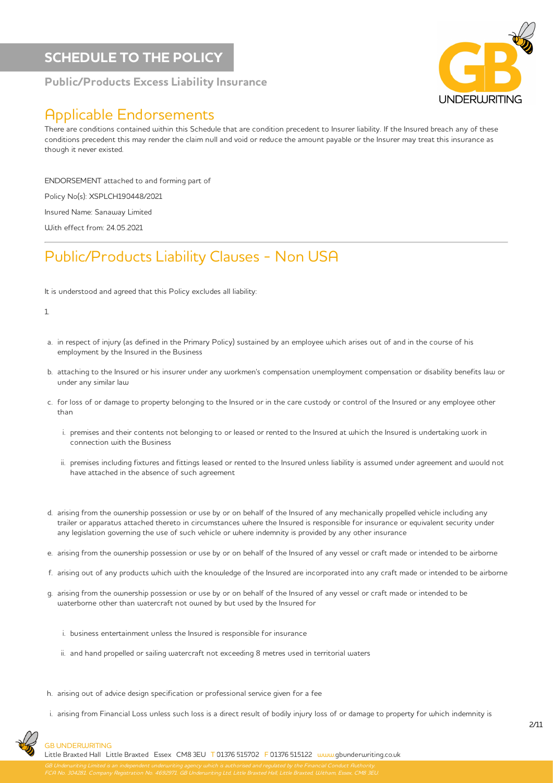### SCHEDULE TO THE POLICY

### Public/Products Excess Liability Insurance



### Applicable Endorsements

There are conditions contained within this Schedule that are condition precedent to Insurer liability. If the Insured breach any of these conditions precedent this may render the claim null and void or reduce the amount payable or the Insurer may treat this insurance as though it never existed.

ENDORSEMENT attached to and forming part of

Policy No(s): XSPLCH190448/2021

Insured Name: Sanaway Limited

With effect from: 24.05.2021

## Public/Products Liability Clauses - Non USA

It is understood and agreed that this Policy excludes all liability:

#### 1.

- a. in respect of injury (as defined in the Primary Policy) sustained by an employee which arises out of and in the course of his employment by the Insured in the Business
- b. attaching to the Insured or his insurer under any workmen's compensation unemployment compensation or disability benefits law or under any similar law
- c. for loss of or damage to property belonging to the Insured or in the care custody or control of the Insured or any employee other than
	- i. premises and their contents not belonging to or leased or rented to the Insured at which the Insured is undertaking work in connection with the Business
	- ii. premises including fixtures and fittings leased or rented to the Insured unless liability is assumed under agreement and would not have attached in the absence of such agreement
- d. arising from the ownership possession or use by or on behalf of the Insured of any mechanically propelled vehicle including any trailer or apparatus attached thereto in circumstances where the Insured is responsible for insurance or equivalent security under any legislation governing the use of such vehicle or where indemnity is provided by any other insurance
- e. arising from the ownership possession or use by or on behalf of the Insured of any vessel or craft made or intended to be airborne
- f. arising out of any products which with the knowledge of the Insured are incorporated into any craft made or intended to be airborne
- g. arising from the ownership possession or use by or on behalf of the Insured of any vessel or craft made or intended to be waterborne other than watercraft not owned by but used by the Insured for
	- i. business entertainment unless the Insured is responsible for insurance
	- ii. and hand propelled or sailing watercraft not exceeding 8 metres used in territorial waters
- h. arising out of advice design specification or professional service given for a fee
- i. arising from Financial Loss unless such loss is a direct result of bodily injury loss of or damage to property for which indemnity is

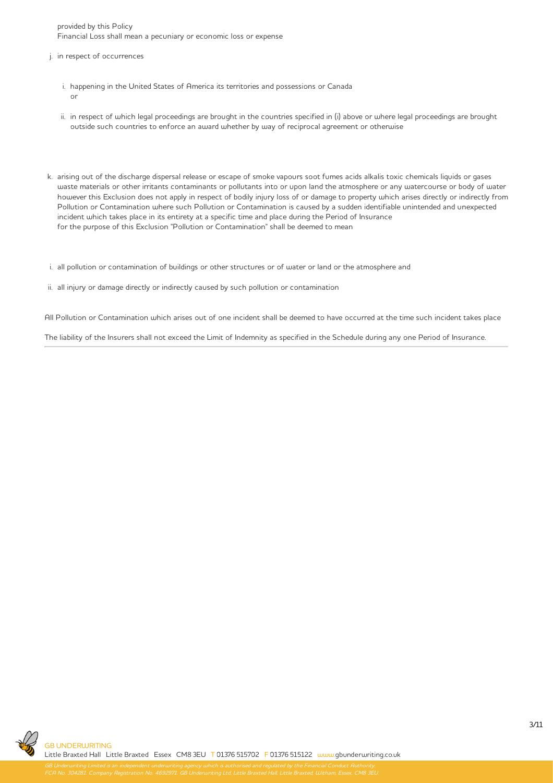provided by this Policy Financial Loss shall mean a pecuniary or economic loss or expense

- j. in respect of occurrences
	- i. happening in the United States of America its territories and possessions or Canada or
	- ii. in respect of which legal proceedings are brought in the countries specified in (i) above or where legal proceedings are brought outside such countries to enforce an award whether by way of reciprocal agreement or otherwise
- k. arising out of the discharge dispersal release or escape of smoke vapours soot fumes acids alkalis toxic chemicals liquids or gases waste materials or other irritants contaminants or pollutants into or upon land the atmosphere or any watercourse or body of water however this Exclusion does not apply in respect of bodily injury loss of or damage to property which arises directly or indirectly from Pollution or Contamination where such Pollution or Contamination is caused by a sudden identifiable unintended and unexpected incident which takes place in its entirety at a specific time and place during the Period of Insurance for the purpose of this Exclusion "Pollution or Contamination" shall be deemed to mean

i. all pollution or contamination of buildings or other structures or of water or land or the atmosphere and

ii. all injury or damage directly or indirectly caused by such pollution or contamination

All Pollution or Contamination which arises out of one incident shall be deemed to have occurred at the time such incident takes place

The liability of the Insurers shall not exceed the Limit of Indemnity as specified in the Schedule during any one Period of Insurance.

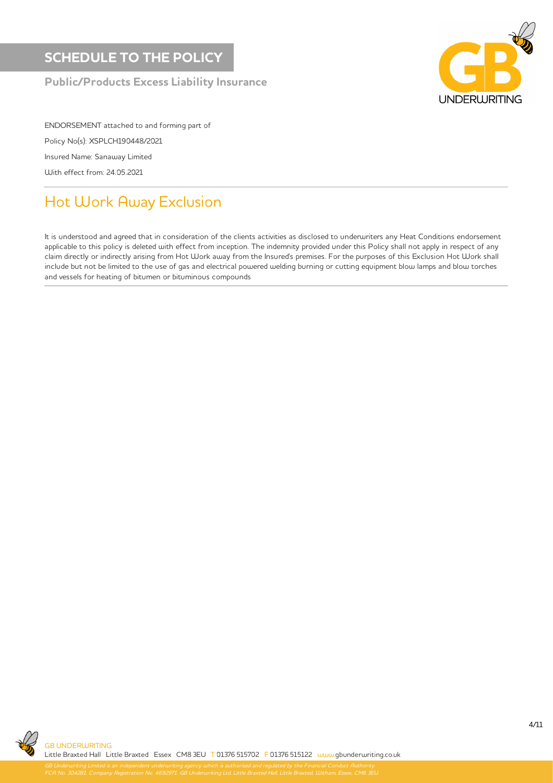

ENDORSEMENT attached to and forming part of Policy No(s): XSPLCH190448/2021 Insured Name: Sanaway Limited With effect from: 24.05.2021

# Hot Work Away Exclusion

It is understood and agreed that in consideration of the clients activities as disclosed to underwriters any Heat Conditions endorsement applicable to this policy is deleted with effect from inception. The indemnity provided under this Policy shall not apply in respect of any claim directly or indirectly arising from Hot Work away from the Insured's premises. For the purposes of this Exclusion Hot Work shall include but not be limited to the use of gas and electrical powered welding burning or cutting equipment blow lamps and blow torches and vessels for heating of bitumen or bituminous compounds

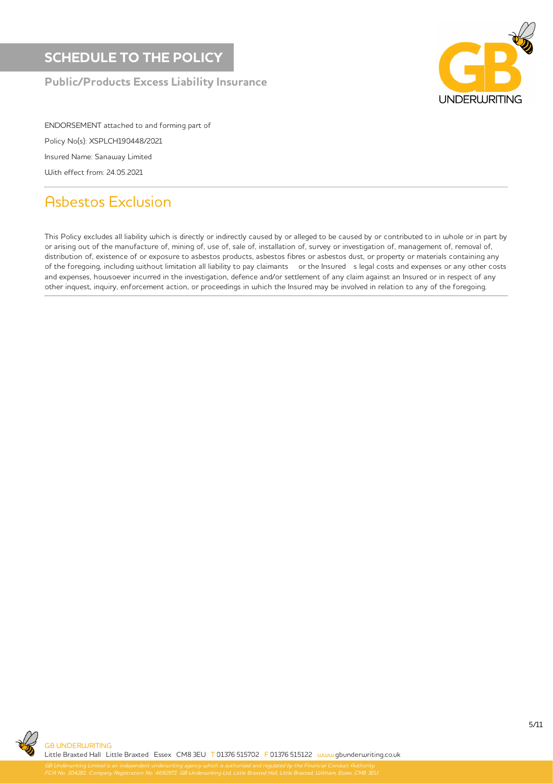

ENDORSEMENT attached to and forming part of Policy No(s): XSPLCH190448/2021 Insured Name: Sanaway Limited With effect from: 24.05.2021

# Asbestos Exclusion

This Policy excludes all liability which is directly or indirectly caused by or alleged to be caused by or contributed to in whole or in part by or arising out of the manufacture of, mining of, use of, sale of, installation of, survey or investigation of, management of, removal of, distribution of, existence of or exposure to asbestos products, asbestos fibres or asbestos dust, or property or materials containing any of the foregoing, including without limitation all liability to pay claimants or the Insured s legal costs and expenses or any other costs and expenses, howsoever incurred in the investigation, defence and/or settlement of any claim against an Insured or in respect of any other inquest, inquiry, enforcement action, or proceedings in which the Insured may be involved in relation to any of the foregoing.

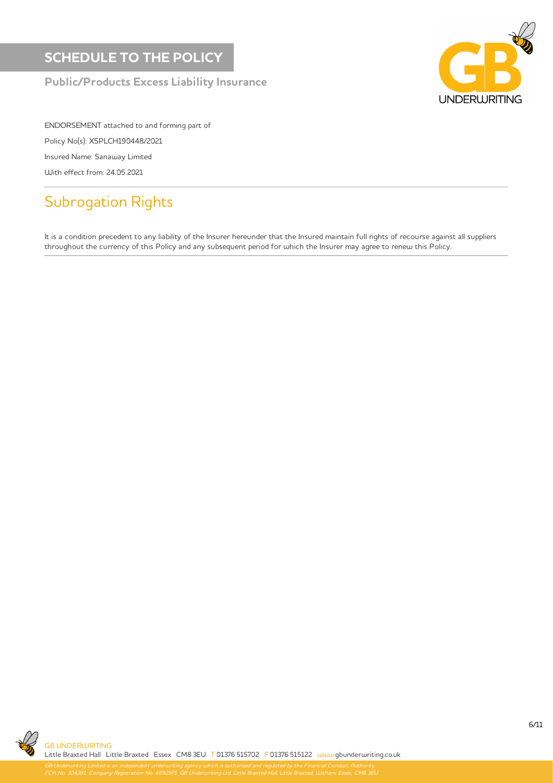

ENDORSEMENT attached to and forming part of Policy No(s): XSPLCH190448/2021 Insured Name: Sanaway Limited With effect from: 24.05.2021

# Subrogation Rights

It is a condition precedent to any liability of the Insurer hereunder that the Insured maintain full rights of recourse against all suppliers throughout the currency of this Policy and any subsequent period for which the Insurer may agree to renew this Policy.

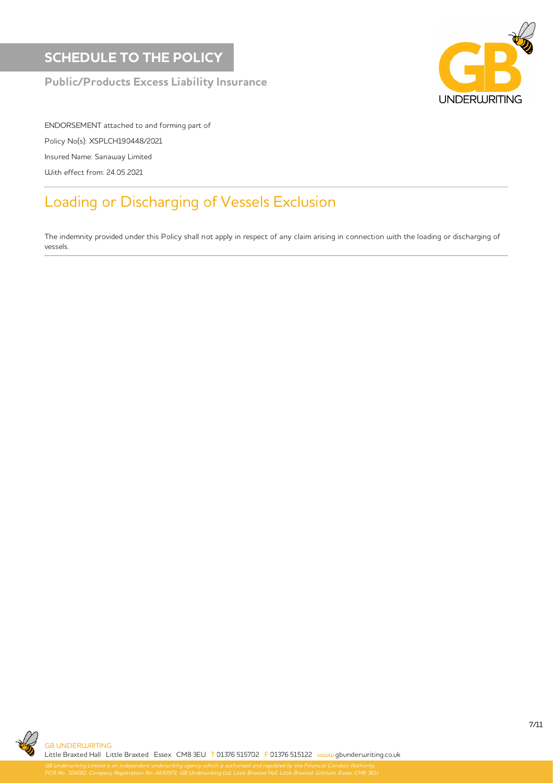## SCHEDULE TO THE POLICY

### Public/Products Excess Liability Insurance



ENDORSEMENT attached to and forming part of Policy No(s): XSPLCH190448/2021 Insured Name: Sanaway Limited With effect from: 24.05.2021

# Loading or Discharging of Vessels Exclusion

The indemnity provided under this Policy shall not apply in respect of any claim arising in connection with the loading or discharging of vessels.



FCA No. 304281. Company Registration No. 4692971. GB Underwriting Ltd, Little Braxted Hall, Little Braxted, Witham, Essex, CM8 3EU.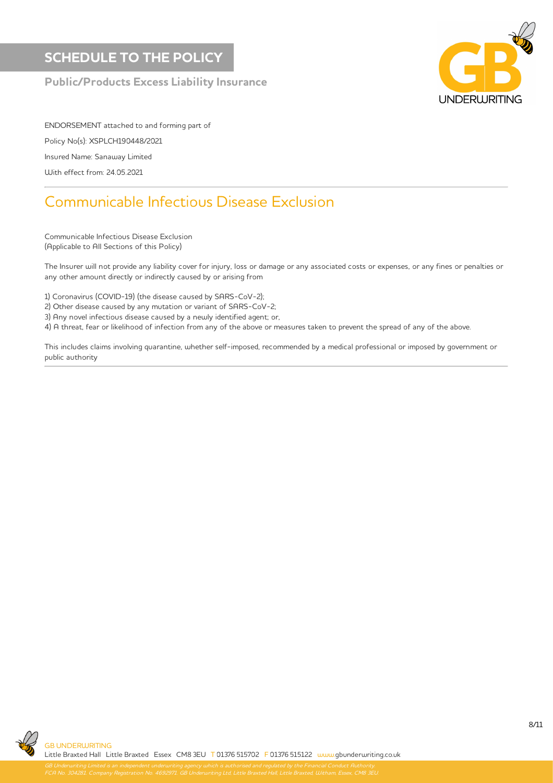## SCHEDULE TO THE POLICY

### Public/Products Excess Liability Insurance



ENDORSEMENT attached to and forming part of Policy No(s): XSPLCH190448/2021 Insured Name: Sanaway Limited With effect from: 24.05.2021

## Communicable Infectious Disease Exclusion

Communicable Infectious Disease Exclusion (Applicable to All Sections of this Policy)

The Insurer will not provide any liability cover for injury, loss or damage or any associated costs or expenses, or any fines or penalties or any other amount directly or indirectly caused by or arising from

1) Coronavirus (COVID-19) (the disease caused by SARS-CoV-2);

2) Other disease caused by any mutation or variant of SARS-CoV-2;

3) Any novel infectious disease caused by a newly identified agent; or,

4) A threat, fear or likelihood of infection from any of the above or measures taken to prevent the spread of any of the above.

This includes claims involving quarantine, whether self-imposed, recommended by a medical professional or imposed by government or public authority

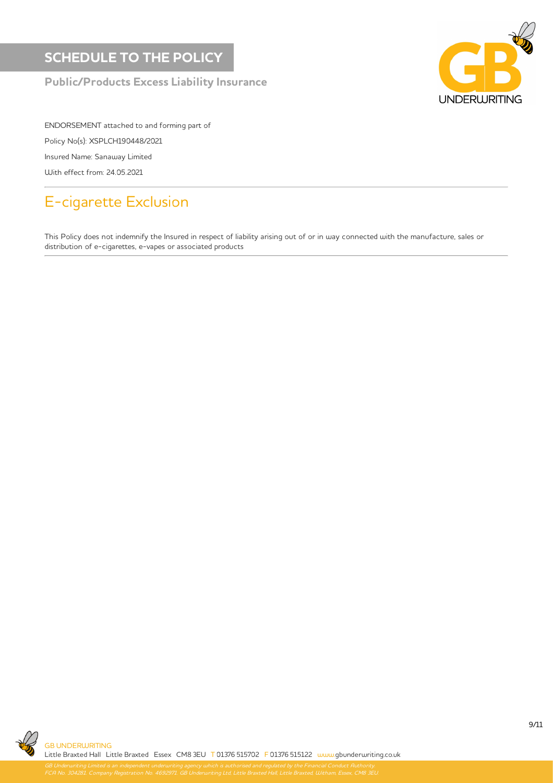

ENDORSEMENT attached to and forming part of Policy No(s): XSPLCH190448/2021 Insured Name: Sanaway Limited With effect from: 24.05.2021

# E-cigarette Exclusion

This Policy does not indemnify the Insured in respect of liability arising out of or in way connected with the manufacture, sales or distribution of e-cigarettes, e-vapes or associated products

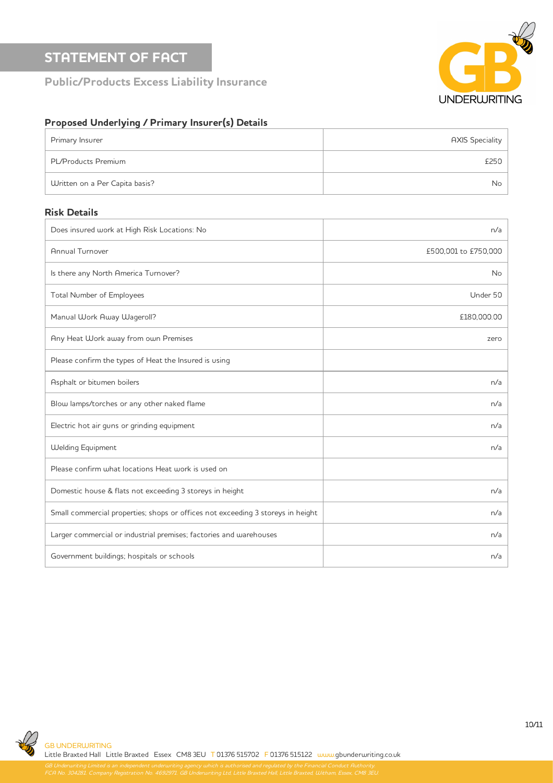### STATEMENT OF FACT

Public/Products Excess Liability Insurance



### Proposed Underlying / Primary Insurer(s) Details

| Primary Insurer                | <b>AXIS Speciality</b> |
|--------------------------------|------------------------|
| PL/Products Premium            | £250                   |
| Written on a Per Capita basis? | No.                    |

#### Risk Details

| Does insured work at High Risk Locations: No                                    | n/a                  |
|---------------------------------------------------------------------------------|----------------------|
| Annual Turnover                                                                 | £500,001 to £750,000 |
| Is there any North America Turnover?                                            | <b>No</b>            |
| Total Number of Employees                                                       | Under 50             |
| Manual Work Away Wageroll?                                                      | £180,000.00          |
| Any Heat Work away from own Premises                                            | zero                 |
| Please confirm the types of Heat the Insured is using                           |                      |
| Asphalt or bitumen boilers                                                      | n/a                  |
| Blow lamps/torches or any other naked flame                                     | n/a                  |
| Electric hot air guns or grinding equipment                                     | n/a                  |
| <b>Welding Equipment</b>                                                        | n/a                  |
| Please confirm what locations Heat work is used on                              |                      |
| Domestic house & flats not exceeding 3 storeys in height                        | n/a                  |
| Small commercial properties; shops or offices not exceeding 3 storeys in height | n/a                  |
| Larger commercial or industrial premises; factories and warehouses              | n/a                  |
| Government buildings; hospitals or schools                                      | n/a                  |